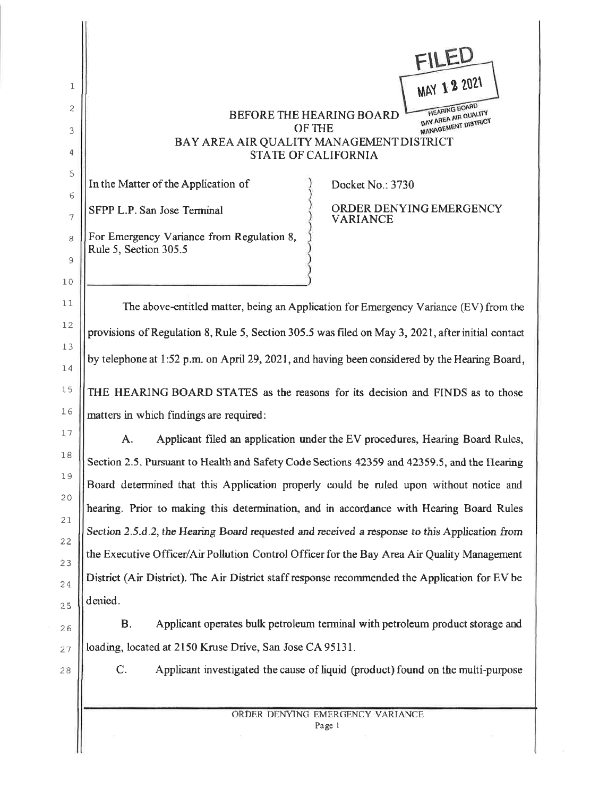**HEARING BOARD** BAY AREA AIR QUALITY BEFORE THE HEARING BOARD MANAGEMENT DISTRICT OF THE BAY AREA AIR QUALITY MANAGEMENT DISTRICT **STATE OF CALIFORNIA** 

In the Matter of the Application of

SFPP L.P. San Jose Terminal

1

 $\overline{c}$ 

3

4

5

6

 $\overline{7}$ 

8

 $\mathcal{G}$ 

 $10$ 

 $11$ 

 $12$ 

13

14

 $15$ 

16

17

 $18$ 

19

 $20$ 

 $21$ 

22

23

24

25

26

For Emergency Variance from Regulation 8, Rule 5, Section 305.5

Docket No.: 3730

ORDER DENYING EMERGENCY **VARIANCE** 

MAY 1 2 2021

The above-entitled matter, being an Application for Emergency Variance (EV) from the provisions of Regulation 8, Rule 5, Section 305.5 was filed on May 3, 2021, after initial contact by telephone at 1:52 p.m. on April 29, 2021, and having been considered by the Hearing Board, THE HEARING BOARD STATES as the reasons for its decision and FINDS as to those matters in which findings are required:

Applicant filed an application under the EV procedures, Hearing Board Rules, A. Section 2.5. Pursuant to Health and Safety Code Sections 42359 and 42359.5, and the Hearing Board determined that this Application properly could be ruled upon without notice and hearing. Prior to making this determination, and in accordance with Hearing Board Rules Section 2.5.d.2, the Hearing Board requested and received a response to this Application from the Executive Officer/Air Pollution Control Officer for the Bay Area Air Quality Management District (Air District). The Air District staff response recommended the Application for EV be denied.

**B.** Applicant operates bulk petroleum terminal with petroleum product storage and loading, located at 2150 Kruse Drive, San Jose CA 95131.

27 28

C.

Applicant investigated the cause of liquid (product) found on the multi-purpose

ORDER DENYING EMERGENCY VARIANCE Page 1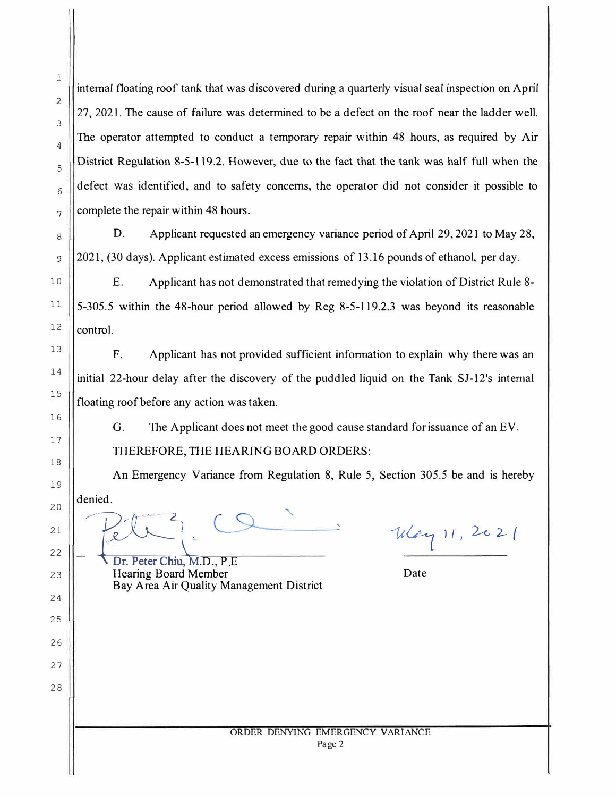internal floating roof tank that was discovered during a quarterly visual seal inspection on April 27, 2021. The cause of failure was determined to be a defect on the roof near the ladder well. The operator attempted to conduct a temporary repair within 48 hours, as required by Air District Regulation 8-5-119.2. However, due to the fact that the tank was half full when the defect was identified, and to safety concerns, the operator did not consider it possible to complete the repair within 48 hours.

D. *Applicant* requested an emergency variance period of April 29, 2021 to May 28, 2021, (30 days). Applicant estimated excess emissions of 13.16 pounds of ethanol, per day.

E. Applicant has not demonstrated that remedying the violation of District Rule 8- 5-305 .5 within the 48-hour period allowed by Reg 8-5-119 .2.3 was beyond its reasonable control.

F. Applicant has not provided sufficient information to explain why there was an initial 22-hour delay after the discovery of the puddled liquid on the Tank SJ-12's internal floating roof before any action was taken.

G. The Applicant does not meet the good cause standard for issuance of an EV. THEREFORE, THE HEARING BOARD ORDERS:

An Emergency Variance from Regulation 8, Rule 5, Section 305.5 be and is hereby denied.

Way 11, 2021

Dr. Peter Chiu, M.D., P.E. Hearing Board Member Date Bay Area Air Quality Management District